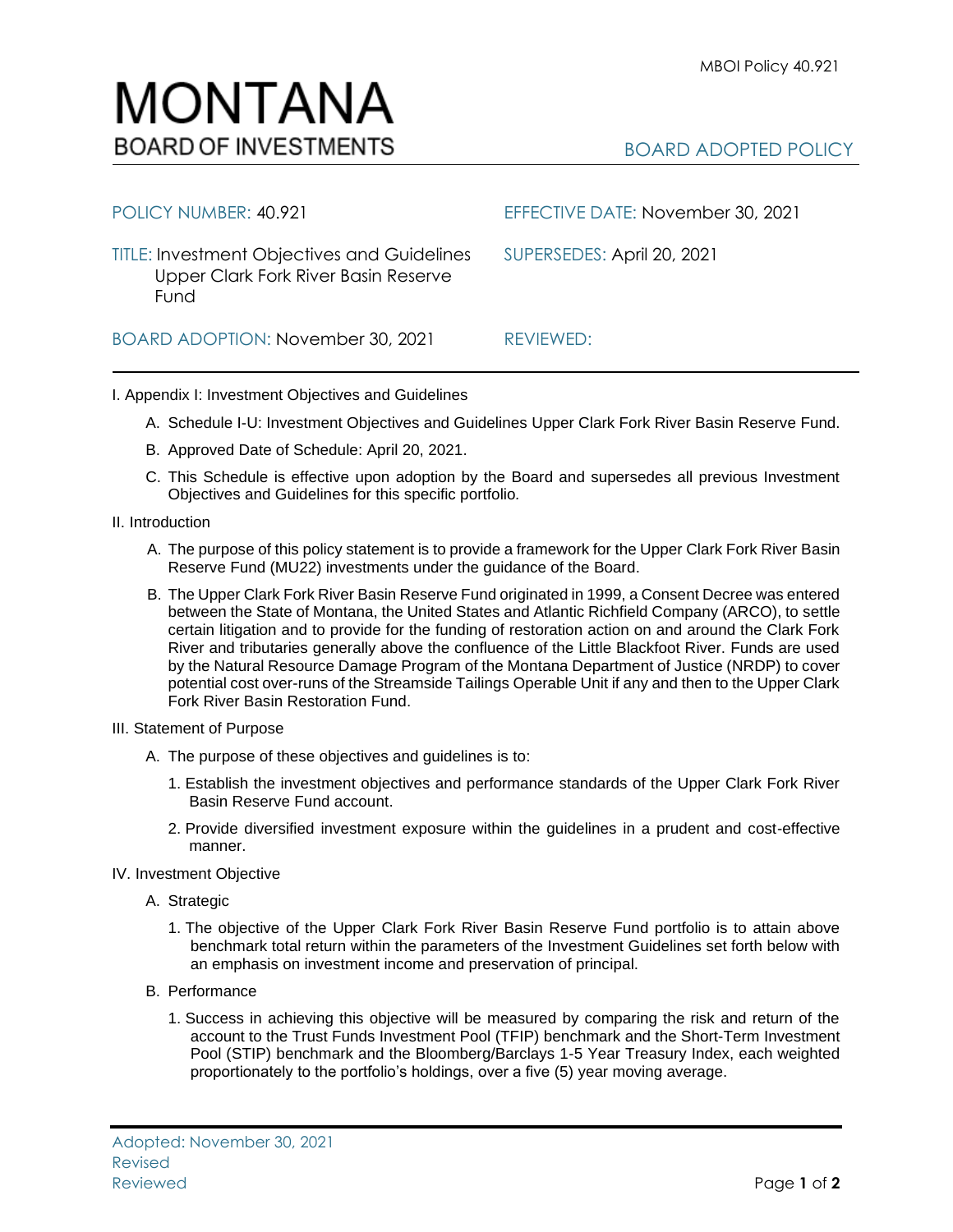

| POLICY NUMBER: 40.921                                                                              | EFFECTIVE DATE: November 30, 2021 |
|----------------------------------------------------------------------------------------------------|-----------------------------------|
| <b>TITLE: Investment Objectives and Guidelines</b><br>Upper Clark Fork River Basin Reserve<br>Fund | SUPERSEDES: April 20, 2021        |
| BOARD ADOPTION: November 30, 2021                                                                  | REVIEWED:                         |

## I. Appendix I: Investment Objectives and Guidelines

- A. Schedule I-U: Investment Objectives and Guidelines Upper Clark Fork River Basin Reserve Fund.
- B. Approved Date of Schedule: April 20, 2021.
- C. This Schedule is effective upon adoption by the Board and supersedes all previous Investment Objectives and Guidelines for this specific portfolio*.*
- II. Introduction
	- A. The purpose of this policy statement is to provide a framework for the Upper Clark Fork River Basin Reserve Fund (MU22) investments under the guidance of the Board.
	- B. The Upper Clark Fork River Basin Reserve Fund originated in 1999, a Consent Decree was entered between the State of Montana, the United States and Atlantic Richfield Company (ARCO), to settle certain litigation and to provide for the funding of restoration action on and around the Clark Fork River and tributaries generally above the confluence of the Little Blackfoot River. Funds are used by the Natural Resource Damage Program of the Montana Department of Justice (NRDP) to cover potential cost over-runs of the Streamside Tailings Operable Unit if any and then to the Upper Clark Fork River Basin Restoration Fund.
- III. Statement of Purpose
	- A. The purpose of these objectives and guidelines is to:
		- 1. Establish the investment objectives and performance standards of the Upper Clark Fork River Basin Reserve Fund account.
		- 2. Provide diversified investment exposure within the guidelines in a prudent and cost-effective manner.
- IV. Investment Objective
	- A. Strategic
		- 1. The objective of the Upper Clark Fork River Basin Reserve Fund portfolio is to attain above benchmark total return within the parameters of the Investment Guidelines set forth below with an emphasis on investment income and preservation of principal.
	- B. Performance
		- 1. Success in achieving this objective will be measured by comparing the risk and return of the account to the Trust Funds Investment Pool (TFIP) benchmark and the Short-Term Investment Pool (STIP) benchmark and the Bloomberg/Barclays 1-5 Year Treasury Index, each weighted proportionately to the portfolio's holdings, over a five (5) year moving average.